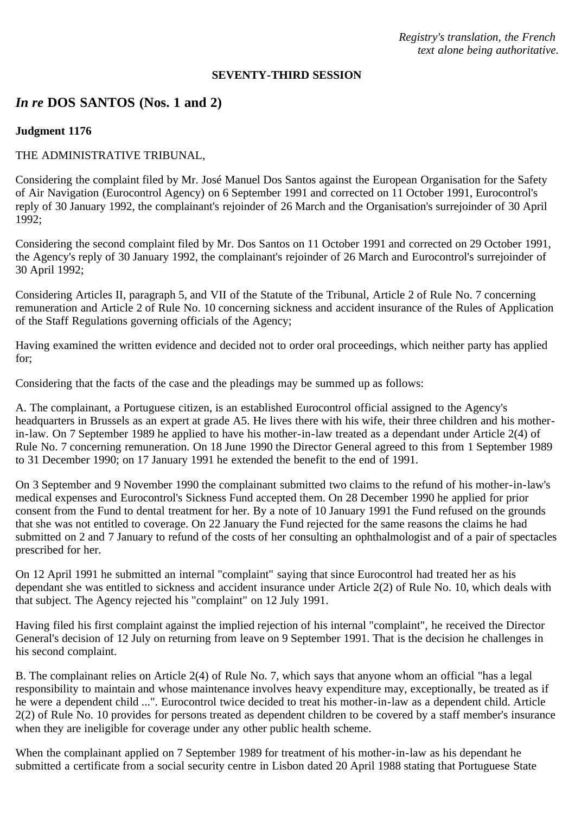*Registry's translation, the French text alone being authoritative.*

#### **SEVENTY-THIRD SESSION**

# *In re* **DOS SANTOS (Nos. 1 and 2)**

### **Judgment 1176**

### THE ADMINISTRATIVE TRIBUNAL,

Considering the complaint filed by Mr. José Manuel Dos Santos against the European Organisation for the Safety of Air Navigation (Eurocontrol Agency) on 6 September 1991 and corrected on 11 October 1991, Eurocontrol's reply of 30 January 1992, the complainant's rejoinder of 26 March and the Organisation's surrejoinder of 30 April 1992;

Considering the second complaint filed by Mr. Dos Santos on 11 October 1991 and corrected on 29 October 1991, the Agency's reply of 30 January 1992, the complainant's rejoinder of 26 March and Eurocontrol's surrejoinder of 30 April 1992;

Considering Articles II, paragraph 5, and VII of the Statute of the Tribunal, Article 2 of Rule No. 7 concerning remuneration and Article 2 of Rule No. 10 concerning sickness and accident insurance of the Rules of Application of the Staff Regulations governing officials of the Agency;

Having examined the written evidence and decided not to order oral proceedings, which neither party has applied for;

Considering that the facts of the case and the pleadings may be summed up as follows:

A. The complainant, a Portuguese citizen, is an established Eurocontrol official assigned to the Agency's headquarters in Brussels as an expert at grade A5. He lives there with his wife, their three children and his motherin-law. On 7 September 1989 he applied to have his mother-in-law treated as a dependant under Article 2(4) of Rule No. 7 concerning remuneration. On 18 June 1990 the Director General agreed to this from 1 September 1989 to 31 December 1990; on 17 January 1991 he extended the benefit to the end of 1991.

On 3 September and 9 November 1990 the complainant submitted two claims to the refund of his mother-in-law's medical expenses and Eurocontrol's Sickness Fund accepted them. On 28 December 1990 he applied for prior consent from the Fund to dental treatment for her. By a note of 10 January 1991 the Fund refused on the grounds that she was not entitled to coverage. On 22 January the Fund rejected for the same reasons the claims he had submitted on 2 and 7 January to refund of the costs of her consulting an ophthalmologist and of a pair of spectacles prescribed for her.

On 12 April 1991 he submitted an internal "complaint" saying that since Eurocontrol had treated her as his dependant she was entitled to sickness and accident insurance under Article 2(2) of Rule No. 10, which deals with that subject. The Agency rejected his "complaint" on 12 July 1991.

Having filed his first complaint against the implied rejection of his internal "complaint", he received the Director General's decision of 12 July on returning from leave on 9 September 1991. That is the decision he challenges in his second complaint.

B. The complainant relies on Article 2(4) of Rule No. 7, which says that anyone whom an official "has a legal responsibility to maintain and whose maintenance involves heavy expenditure may, exceptionally, be treated as if he were a dependent child ...". Eurocontrol twice decided to treat his mother-in-law as a dependent child. Article 2(2) of Rule No. 10 provides for persons treated as dependent children to be covered by a staff member's insurance when they are ineligible for coverage under any other public health scheme.

When the complainant applied on 7 September 1989 for treatment of his mother-in-law as his dependant he submitted a certificate from a social security centre in Lisbon dated 20 April 1988 stating that Portuguese State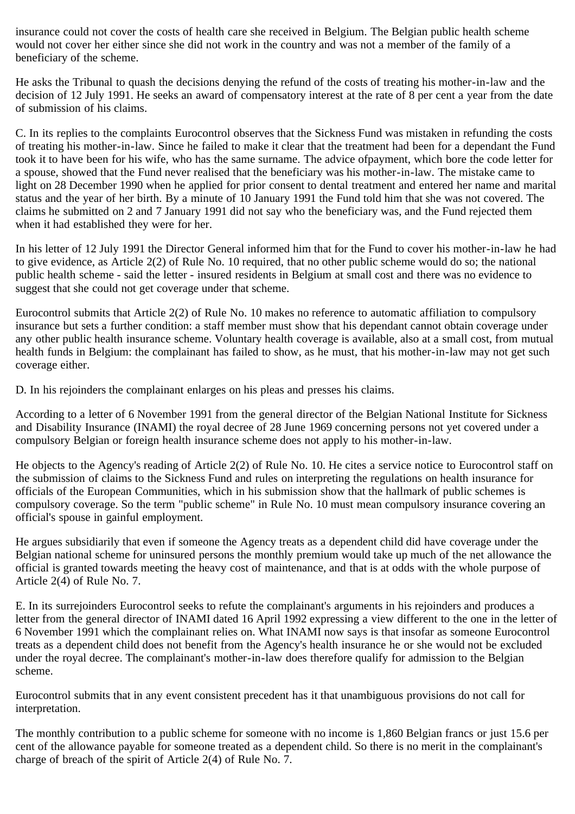insurance could not cover the costs of health care she received in Belgium. The Belgian public health scheme would not cover her either since she did not work in the country and was not a member of the family of a beneficiary of the scheme.

He asks the Tribunal to quash the decisions denying the refund of the costs of treating his mother-in-law and the decision of 12 July 1991. He seeks an award of compensatory interest at the rate of 8 per cent a year from the date of submission of his claims.

C. In its replies to the complaints Eurocontrol observes that the Sickness Fund was mistaken in refunding the costs of treating his mother-in-law. Since he failed to make it clear that the treatment had been for a dependant the Fund took it to have been for his wife, who has the same surname. The advice ofpayment, which bore the code letter for a spouse, showed that the Fund never realised that the beneficiary was his mother-in-law. The mistake came to light on 28 December 1990 when he applied for prior consent to dental treatment and entered her name and marital status and the year of her birth. By a minute of 10 January 1991 the Fund told him that she was not covered. The claims he submitted on 2 and 7 January 1991 did not say who the beneficiary was, and the Fund rejected them when it had established they were for her.

In his letter of 12 July 1991 the Director General informed him that for the Fund to cover his mother-in-law he had to give evidence, as Article 2(2) of Rule No. 10 required, that no other public scheme would do so; the national public health scheme - said the letter - insured residents in Belgium at small cost and there was no evidence to suggest that she could not get coverage under that scheme.

Eurocontrol submits that Article 2(2) of Rule No. 10 makes no reference to automatic affiliation to compulsory insurance but sets a further condition: a staff member must show that his dependant cannot obtain coverage under any other public health insurance scheme. Voluntary health coverage is available, also at a small cost, from mutual health funds in Belgium: the complainant has failed to show, as he must, that his mother-in-law may not get such coverage either.

D. In his rejoinders the complainant enlarges on his pleas and presses his claims.

According to a letter of 6 November 1991 from the general director of the Belgian National Institute for Sickness and Disability Insurance (INAMI) the royal decree of 28 June 1969 concerning persons not yet covered under a compulsory Belgian or foreign health insurance scheme does not apply to his mother-in-law.

He objects to the Agency's reading of Article 2(2) of Rule No. 10. He cites a service notice to Eurocontrol staff on the submission of claims to the Sickness Fund and rules on interpreting the regulations on health insurance for officials of the European Communities, which in his submission show that the hallmark of public schemes is compulsory coverage. So the term "public scheme" in Rule No. 10 must mean compulsory insurance covering an official's spouse in gainful employment.

He argues subsidiarily that even if someone the Agency treats as a dependent child did have coverage under the Belgian national scheme for uninsured persons the monthly premium would take up much of the net allowance the official is granted towards meeting the heavy cost of maintenance, and that is at odds with the whole purpose of Article 2(4) of Rule No. 7.

E. In its surrejoinders Eurocontrol seeks to refute the complainant's arguments in his rejoinders and produces a letter from the general director of INAMI dated 16 April 1992 expressing a view different to the one in the letter of 6 November 1991 which the complainant relies on. What INAMI now says is that insofar as someone Eurocontrol treats as a dependent child does not benefit from the Agency's health insurance he or she would not be excluded under the royal decree. The complainant's mother-in-law does therefore qualify for admission to the Belgian scheme.

Eurocontrol submits that in any event consistent precedent has it that unambiguous provisions do not call for interpretation.

The monthly contribution to a public scheme for someone with no income is 1,860 Belgian francs or just 15.6 per cent of the allowance payable for someone treated as a dependent child. So there is no merit in the complainant's charge of breach of the spirit of Article 2(4) of Rule No. 7.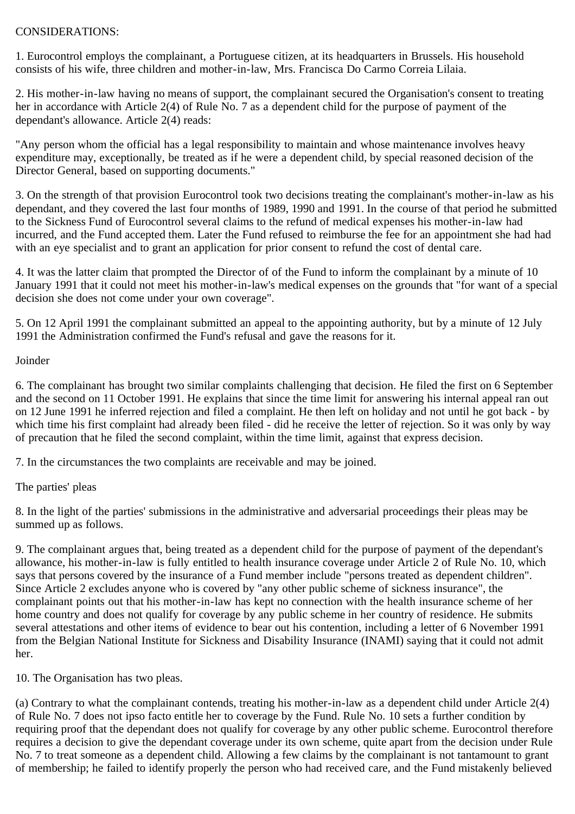## CONSIDERATIONS:

1. Eurocontrol employs the complainant, a Portuguese citizen, at its headquarters in Brussels. His household consists of his wife, three children and mother-in-law, Mrs. Francisca Do Carmo Correia Lilaia.

2. His mother-in-law having no means of support, the complainant secured the Organisation's consent to treating her in accordance with Article 2(4) of Rule No. 7 as a dependent child for the purpose of payment of the dependant's allowance. Article 2(4) reads:

"Any person whom the official has a legal responsibility to maintain and whose maintenance involves heavy expenditure may, exceptionally, be treated as if he were a dependent child, by special reasoned decision of the Director General, based on supporting documents."

3. On the strength of that provision Eurocontrol took two decisions treating the complainant's mother-in-law as his dependant, and they covered the last four months of 1989, 1990 and 1991. In the course of that period he submitted to the Sickness Fund of Eurocontrol several claims to the refund of medical expenses his mother-in-law had incurred, and the Fund accepted them. Later the Fund refused to reimburse the fee for an appointment she had had with an eye specialist and to grant an application for prior consent to refund the cost of dental care.

4. It was the latter claim that prompted the Director of of the Fund to inform the complainant by a minute of 10 January 1991 that it could not meet his mother-in-law's medical expenses on the grounds that "for want of a special decision she does not come under your own coverage".

5. On 12 April 1991 the complainant submitted an appeal to the appointing authority, but by a minute of 12 July 1991 the Administration confirmed the Fund's refusal and gave the reasons for it.

### Joinder

6. The complainant has brought two similar complaints challenging that decision. He filed the first on 6 September and the second on 11 October 1991. He explains that since the time limit for answering his internal appeal ran out on 12 June 1991 he inferred rejection and filed a complaint. He then left on holiday and not until he got back - by which time his first complaint had already been filed - did he receive the letter of rejection. So it was only by way of precaution that he filed the second complaint, within the time limit, against that express decision.

7. In the circumstances the two complaints are receivable and may be joined.

The parties' pleas

8. In the light of the parties' submissions in the administrative and adversarial proceedings their pleas may be summed up as follows.

9. The complainant argues that, being treated as a dependent child for the purpose of payment of the dependant's allowance, his mother-in-law is fully entitled to health insurance coverage under Article 2 of Rule No. 10, which says that persons covered by the insurance of a Fund member include "persons treated as dependent children". Since Article 2 excludes anyone who is covered by "any other public scheme of sickness insurance", the complainant points out that his mother-in-law has kept no connection with the health insurance scheme of her home country and does not qualify for coverage by any public scheme in her country of residence. He submits several attestations and other items of evidence to bear out his contention, including a letter of 6 November 1991 from the Belgian National Institute for Sickness and Disability Insurance (INAMI) saying that it could not admit her.

10. The Organisation has two pleas.

(a) Contrary to what the complainant contends, treating his mother-in-law as a dependent child under Article 2(4) of Rule No. 7 does not ipso facto entitle her to coverage by the Fund. Rule No. 10 sets a further condition by requiring proof that the dependant does not qualify for coverage by any other public scheme. Eurocontrol therefore requires a decision to give the dependant coverage under its own scheme, quite apart from the decision under Rule No. 7 to treat someone as a dependent child. Allowing a few claims by the complainant is not tantamount to grant of membership; he failed to identify properly the person who had received care, and the Fund mistakenly believed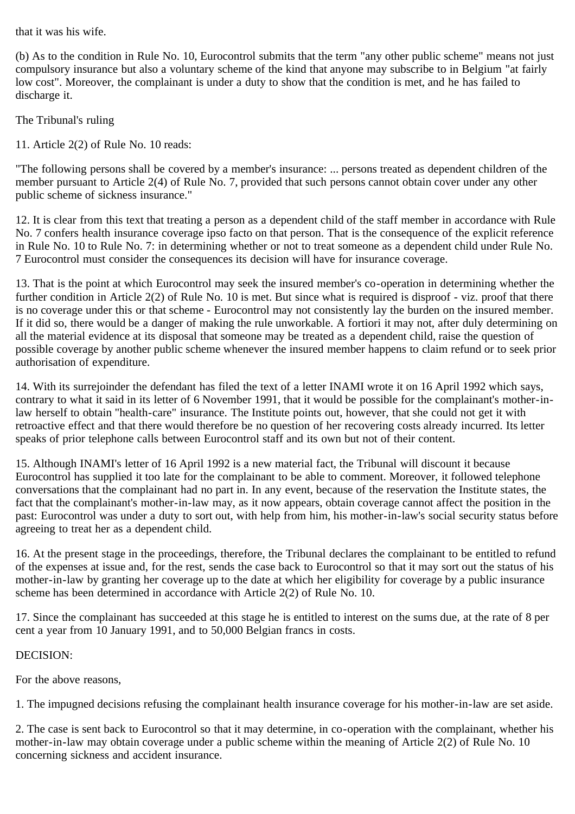that it was his wife.

(b) As to the condition in Rule No. 10, Eurocontrol submits that the term "any other public scheme" means not just compulsory insurance but also a voluntary scheme of the kind that anyone may subscribe to in Belgium "at fairly low cost". Moreover, the complainant is under a duty to show that the condition is met, and he has failed to discharge it.

The Tribunal's ruling

11. Article 2(2) of Rule No. 10 reads:

"The following persons shall be covered by a member's insurance: ... persons treated as dependent children of the member pursuant to Article 2(4) of Rule No. 7, provided that such persons cannot obtain cover under any other public scheme of sickness insurance."

12. It is clear from this text that treating a person as a dependent child of the staff member in accordance with Rule No. 7 confers health insurance coverage ipso facto on that person. That is the consequence of the explicit reference in Rule No. 10 to Rule No. 7: in determining whether or not to treat someone as a dependent child under Rule No. 7 Eurocontrol must consider the consequences its decision will have for insurance coverage.

13. That is the point at which Eurocontrol may seek the insured member's co-operation in determining whether the further condition in Article 2(2) of Rule No. 10 is met. But since what is required is disproof - viz. proof that there is no coverage under this or that scheme - Eurocontrol may not consistently lay the burden on the insured member. If it did so, there would be a danger of making the rule unworkable. A fortiori it may not, after duly determining on all the material evidence at its disposal that someone may be treated as a dependent child, raise the question of possible coverage by another public scheme whenever the insured member happens to claim refund or to seek prior authorisation of expenditure.

14. With its surrejoinder the defendant has filed the text of a letter INAMI wrote it on 16 April 1992 which says, contrary to what it said in its letter of 6 November 1991, that it would be possible for the complainant's mother-inlaw herself to obtain "health-care" insurance. The Institute points out, however, that she could not get it with retroactive effect and that there would therefore be no question of her recovering costs already incurred. Its letter speaks of prior telephone calls between Eurocontrol staff and its own but not of their content.

15. Although INAMI's letter of 16 April 1992 is a new material fact, the Tribunal will discount it because Eurocontrol has supplied it too late for the complainant to be able to comment. Moreover, it followed telephone conversations that the complainant had no part in. In any event, because of the reservation the Institute states, the fact that the complainant's mother-in-law may, as it now appears, obtain coverage cannot affect the position in the past: Eurocontrol was under a duty to sort out, with help from him, his mother-in-law's social security status before agreeing to treat her as a dependent child.

16. At the present stage in the proceedings, therefore, the Tribunal declares the complainant to be entitled to refund of the expenses at issue and, for the rest, sends the case back to Eurocontrol so that it may sort out the status of his mother-in-law by granting her coverage up to the date at which her eligibility for coverage by a public insurance scheme has been determined in accordance with Article 2(2) of Rule No. 10.

17. Since the complainant has succeeded at this stage he is entitled to interest on the sums due, at the rate of 8 per cent a year from 10 January 1991, and to 50,000 Belgian francs in costs.

### DECISION:

For the above reasons,

1. The impugned decisions refusing the complainant health insurance coverage for his mother-in-law are set aside.

2. The case is sent back to Eurocontrol so that it may determine, in co-operation with the complainant, whether his mother-in-law may obtain coverage under a public scheme within the meaning of Article 2(2) of Rule No. 10 concerning sickness and accident insurance.